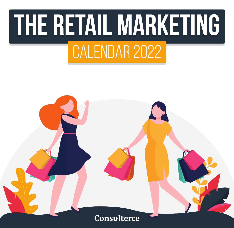## **The Retail Marketing The Retail Marketing**CALENDAR 2022

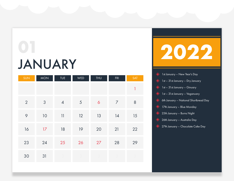#### JANUARY **01**

| SUN            | <b>MON</b>     | <b>TUE</b>     | WED | <b>THU</b>       | FRI            | SAT          |
|----------------|----------------|----------------|-----|------------------|----------------|--------------|
|                |                |                |     |                  |                | $\mathbf{1}$ |
| $\overline{2}$ | $\mathfrak{S}$ | $\overline{4}$ | 5   | $\boldsymbol{6}$ | $\overline{7}$ | $\,8\,$      |
| $\varphi$      | 10             | 11             | 12  | 13               | 14             | 15           |
| 16             | 17             | 18             | 19  | 20               | 21             | 22           |
| 23             | 24             | 25             | 26  | 27               | 28             | 29           |
| 30             | 31             |                |     |                  |                |              |



| 1st January - New Year's Day                                            |
|-------------------------------------------------------------------------|
| $\bullet$ 1st – 31st January – Dry January                              |
| $\diamondsuit$ 1st - 31st January - Ginuary                             |
| $\bullet$ 1st – 31st January – Veganuary                                |
| $\textcolor{blue}{\blacklozenge}$ 6th January – National Shortbread Day |
| $\quad \Longleftrightarrow \quad$ 17th January – Blue Monday            |
| $\textcolor{blue}{\bullet}$ 25th January – Burns Night                  |
| $\textcolor{blue}{\blacklozenge}$ 26th January – Australia Day          |
| $\Diamond$ 27th January – Chocolate Cake Day                            |
|                                                                         |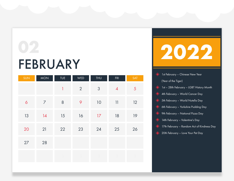### FEBRUARY

| SUN            | <b>MON</b>     | <b>TUE</b> | WED            | <b>THU</b>     | FRI            | <b>SAT</b>     |
|----------------|----------------|------------|----------------|----------------|----------------|----------------|
|                |                | 1          | $\overline{2}$ | $\mathfrak{Z}$ | $\overline{4}$ | $\overline{5}$ |
| $\ddot{\circ}$ | $\overline{7}$ | $\, 8$     | 9              | 10             | 11             | 12             |
| 13             | 14             | 15         | 16             | 17             | 18             | 19             |
| 20             | 21             | 22         | 23             | 24             | 25             | 26             |
| 27             | 28             |            |                |                |                |                |
|                |                |            |                |                |                |                |



- 1st February Chinese New Year (Year of the Tiger)
- 1st 28th February LGBT History Month
- 4th February World Cancer Day ◈
- 5th February World Nutella Day ◈
- 6th February Yorkshire Pudding Day
- 9th February National Pizza Day ◈
- 14th February Valentine's Day ◈
- 17th February Random Act of Kindness Day
- 20th February Love Your Pet Day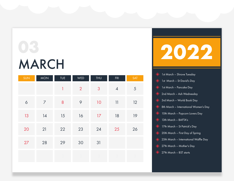### MARCH **03**

| <b>SUN</b>       | <b>MON</b>     | <b>TUE</b>       | WED            | <b>THU</b> | <b>FRI</b>                        | <b>SAT</b> |
|------------------|----------------|------------------|----------------|------------|-----------------------------------|------------|
|                  |                | $\mathbf{I}$     | $\overline{2}$ | 3          | $\overline{4}$                    | $\sqrt{5}$ |
| $\acute{\rm{o}}$ | $\overline{7}$ | $\boldsymbol{8}$ | 9              | 10         | $\begin{array}{c} 11 \end{array}$ | 12         |
| 13               | 14             | 15               | 16             | 17         | 18                                | 19         |
| 20               | 21             | 22               | 23             | 24         | 25                                | 26         |
| 27               | 28             | 29               | 30             | 31         |                                   |            |
|                  |                |                  |                |            |                                   |            |



| ◈ | 1st March – Shrove Tuesday                              |
|---|---------------------------------------------------------|
|   | St David's Day                                          |
|   | 1st March - Pancake Day                                 |
|   | 2nd March - Ash Wednesday                               |
|   | 3rd March – World Book Day                              |
|   | <b>8th March - International Women's Day</b>            |
|   | 10th March - Popcorn Lovers Day                         |
|   | 13th March - BAFTA's                                    |
|   | 17th March - St Patrick's Day                           |
|   | $\leftrightarrow$ 20th March – First Day of Spring      |
|   | $\leftrightarrow$ 25th March – International Waffle Day |
|   | $\leftrightarrow$ 27th March – Mother's Day             |
| ◈ | 27th March – BST starts                                 |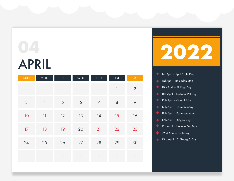# APRIL

| SUN          | <b>MON</b>              | <b>TUE</b>     | WED                  | <b>THU</b>     | FRI            | SAT              |
|--------------|-------------------------|----------------|----------------------|----------------|----------------|------------------|
|              |                         |                |                      |                | $\overline{1}$ | $\overline{2}$   |
| $\mathbf{3}$ | $\overline{4}$          | $\overline{5}$ | $\acute{\mathrm{o}}$ | $\overline{7}$ | $\,8\,$        | $\mathsf{\circ}$ |
| 10           | $\overline{\mathbf{1}}$ | 12             | 13                   | 14             | 15             | 16               |
| 17           | 18                      | 19             | 20                   | 21             | 22             | 23               |
| 24           | 25                      | 26             | 27                   | 28             | 29             | 30               |
|              |                         |                |                      |                |                |                  |



|   | 1st April – April Fool's Day             |
|---|------------------------------------------|
|   | 3rd April - Ramadan Start                |
|   | $\diamondsuit$ 10th April – Siblings Day |
| ◈ | 11th April – National Pet Day            |
|   | $\diamondsuit$ 15th April – Good Friday  |
|   | 17th April - Easter Sunday               |
|   | 18th April - Easter Monday               |
| ◈ | 19th April - Bicycle Day                 |
|   | 21 st April – National Tea Day           |
|   | $\diamondsuit$ 22nd April – Earth Day    |
| ◈ | 23rd April – St George's Day             |
|   |                                          |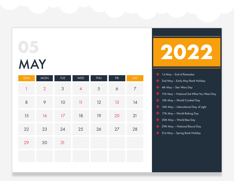### MAY **05**

| <b>SUN</b>     | <b>MON</b>     | <b>TUE</b> | WED            | <b>THU</b> | FRI                  | <b>SAT</b>     |
|----------------|----------------|------------|----------------|------------|----------------------|----------------|
| $\overline{1}$ | $\overline{2}$ | $\sqrt{3}$ | $\overline{4}$ | $\sqrt{5}$ | $\acute{\mathrm{o}}$ | $\overline{7}$ |
| $\,8\,$        | $\varphi$      | 10         | 11             | 12         | 13                   | 14             |
| 15             | 16             | 17         | 18             | 19         | 20                   | 21             |
| 22             | 23             | 24         | 25             | 26         | 27                   | 28             |
| 29             | 30             | 31         |                |            |                      |                |
|                |                |            |                |            |                      |                |



| $\bullet$ 1st May – End of Ramadan                                      |
|-------------------------------------------------------------------------|
| 2nd May - Early May Bank Holiday                                        |
| $\blacklozenge$ 4th May – Star Wars Day                                 |
| $\quad \blacklozenge$ $\quad$ 11th May – National Eat What You Want Day |
| 13th May – World Cocktail Day                                           |
| $\quad \bullet$ 16th May – International Day of Light                   |
| 17th May - World Baking Day                                             |
| $\leftrightarrow$ 20th May – World Bee Day                              |
|                                                                         |

- 29th May National Biscuit Day ◈
- <sup>3</sup> 31st May Spring Bank Holiday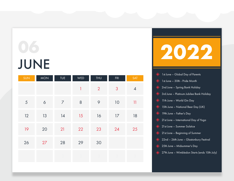### JUNE **06**

| <b>SUN</b> | <b>MON</b>       | <b>TUE</b>     | WED          | <b>THU</b>     | FRI | <b>SAT</b>     |
|------------|------------------|----------------|--------------|----------------|-----|----------------|
|            |                  |                | $\mathbf{1}$ | $\overline{2}$ | 3   | $\overline{4}$ |
| $\sqrt{5}$ | $\acute{\rm{o}}$ | $\overline{7}$ | $\,8\,$      | $\varphi$      | 10  | 11             |
| 12         | 13               | 14             | 15           | 16             | 17  | 18             |
| 19         | 20               | 21             | 22           | 23             | 24  | 25             |
| 26         | 27               | 28             | 29           | 30             |     |                |
|            |                  |                |              |                |     |                |

## **2022**

|                   | $\leftrightarrow$ 1st June – Global Day of Parents                       |
|-------------------|--------------------------------------------------------------------------|
|                   | $\diamondsuit$ 1st June - 30th - Pride Month                             |
|                   | 2nd June - Spring Bank Holiday                                           |
| $\Leftrightarrow$ | 3rd June – Platinum Jubilee Bank Holiday                                 |
|                   | 11th June - World Gin Day                                                |
|                   | 15th June - National Beer Day (UK)                                       |
|                   | $\diamondsuit$ 19th June - Father's Day                                  |
|                   | $\textcolor{blue}{\blacklozenge}$ 21 st June – International Day of Yoga |
|                   | 21st June - Summer Solstice                                              |
|                   | 21st June - Beginning of Summer                                          |
|                   | 22nd – 26th June – Glastonbury Festival                                  |
|                   | $\diamondsuit$ 25th June – Midsummer's Day                               |
|                   | 27th June – Wimbledon Starts (ends 10th July)                            |
|                   |                                                                          |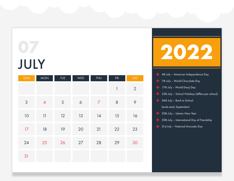### JULY **07**

| SUN        | <b>MON</b>     | <b>TUE</b> | WED              | <b>THU</b>     | FRI          | SAT            |
|------------|----------------|------------|------------------|----------------|--------------|----------------|
|            |                |            |                  |                | $\mathbf{1}$ | $\overline{2}$ |
| $\sqrt{3}$ | $\overline{4}$ | $\sqrt{5}$ | $\acute{\rm{o}}$ | $\overline{7}$ | $\,8\,$      | $\circ$        |
| $10$       | 11             | 12         | 13               | 14             | 15           | 16             |
| 17         | 18             | 19         | 20               | 21             | 22           | 23             |
| 24         | 25             | 26         | 27               | 28             | 29           | 30             |
| 31         |                |            |                  |                |              |                |



- 4th July American Independence Day ◈
- 7th July World Chocolate Day ◈
- 17th July World Emoji Day
- 25th July School Holidays (differs per school)
- 26th July Back to School ◈

(ends early September)

- 30th July Islamic New Year
- 30th July International Day of Friendship ◈
- ◆ 31st July National Avocado Day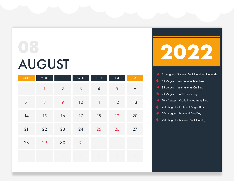# AUGUST

| <b>SUN</b>     | <b>MON</b>       | <b>TUE</b>     | WED            | <b>THU</b>                                        | FRI | <b>SAT</b>       |
|----------------|------------------|----------------|----------------|---------------------------------------------------|-----|------------------|
|                | $\mathbf{1}$     | $\overline{2}$ | $\mathfrak{S}$ | $\overline{4}$                                    | 5   | $\acute{\rm{o}}$ |
| $\overline{7}$ | $\boldsymbol{8}$ | 9              | 10             | $\left\vert \left\vert {}\right\vert \right\vert$ | 12  | 13               |
| 14             | 15               | 16             | $17\,$         | 18                                                | 19  | 20               |
| 21             | 22               | 23             | 24             | 25                                                | 26  | 27               |
| 28             | 29               | 30             | 31             |                                                   |     |                  |
|                |                  |                |                |                                                   |     |                  |



- 1st August Summer Bank Holiday (Scotland) ◈
- 5th August International Beer Day ◈
- 8th August International Cat Day ◈
- 9th August Book Lovers Day ◈
- 19th August World Photography Day ◈
- 25th August National Burger Day ◈
- 26th August National Dog Day ◈
- 29th August Summer Bank Holiday◈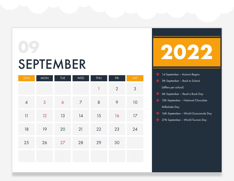#### SEPTEMBER **09**

| SUN            | <b>MON</b> | TUE            | WED            | THU          | FRI            | SAT        |
|----------------|------------|----------------|----------------|--------------|----------------|------------|
|                |            |                |                | $\mathbf{1}$ | $\overline{2}$ | $\sqrt{3}$ |
| $\overline{4}$ | 5          | $\ddot{\circ}$ | $\overline{7}$ | $\,8\,$      | 9              | 10         |
| 11             | 12         | 13             | 14             | 15           | 16             | 17         |
| 18             | 19         | 20             | 21             | 22           | 23             | 24         |
| 25             | 26         | 27             | 28             | 29           | 30             |            |
|                |            |                |                |              |                |            |

**2022**

- 1st September Autumn Begins ◈
- 5th September Back to School ◈

(differs per school)

- 6th September Read a Book Day ◈
- 12th September National Chocolate ◈ Milkshake Day
- 16th September World Guacamole Day ◈
- 27th September World Tourism Day◈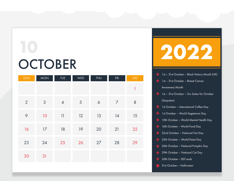## **OCTOBER**

| <b>SUN</b>     | <b>MON</b>     | TUE            | WED | <b>THU</b>  | FRI            | SAT          |
|----------------|----------------|----------------|-----|-------------|----------------|--------------|
|                |                |                |     |             |                | $\mathbf{1}$ |
| $\overline{2}$ | $\mathfrak{Z}$ | $\overline{4}$ | 5   | $\acute{o}$ | $\overline{7}$ | $\,8\,$      |
| 9              | 10             | 11             | 12  | 13          | 14             | 15           |
| 16             | $17\,$         | 18             | 19  | 20          | 21             | 22           |
| 23             | 24             | 25             | 26  | 27          | 28             | 29           |
| 30             | 31             |                |     |             |                |              |



- 1st 31st October Black History Month (UK) ◈
- 1st 31st October Breast Cancer

Awareness Month

- 1st 31st October Go Sober for October ◈ (Stopober)
- 1st October International Coffee Day  $\langle \rangle$
- 1st October World Vegetarian Day ◈
- 10th October World Mental Health Day
- 16th October World Food Day ◈
- 22nd October National Nut Day ◈
- 25th October World Pasta Day ◈
- 26th October National Pumpkin Day
- 29th October National Cat Day ◈
- 30th October BST ends ◈
- 31st October Halloween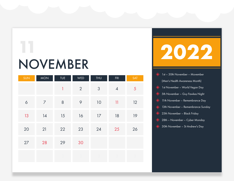#### NOVEMBER

**11**

| SUN                  | <b>MON</b>     | <b>TUE</b> | WED            | <b>THU</b>     | FRI             | SAT            |
|----------------------|----------------|------------|----------------|----------------|-----------------|----------------|
|                      |                | 1          | $\overline{2}$ | $\mathfrak{S}$ | $\pmb{4}$       | $\overline{5}$ |
| $\acute{\mathrm{o}}$ | $\overline{7}$ | $\,8\,$    | $\varphi$      | 10             | $\overline{11}$ | 12             |
| 13                   | 14             | 15         | 16             | 17             | 18              | 19             |
| 20                   | 21             | 22         | 23             | 24             | 25              | 26             |
| 27                   | 28             | 29         | 30             |                |                 |                |
|                      |                |            |                |                |                 |                |



| 1st - 30th November - Movember                |
|-----------------------------------------------|
| (Men's Health Awareness Month)                |
| Solar 1st November – World Vegan Day          |
| 5th November - Guy Fawkes Night               |
| 11th November - Remembrance Day               |
| 13th November - Remembrance Sunday            |
| 25th November - Black Friday                  |
| $\diamondsuit$ 28th – November – Cyber Monday |
| 30th November - St Andrew's Day               |
|                                               |